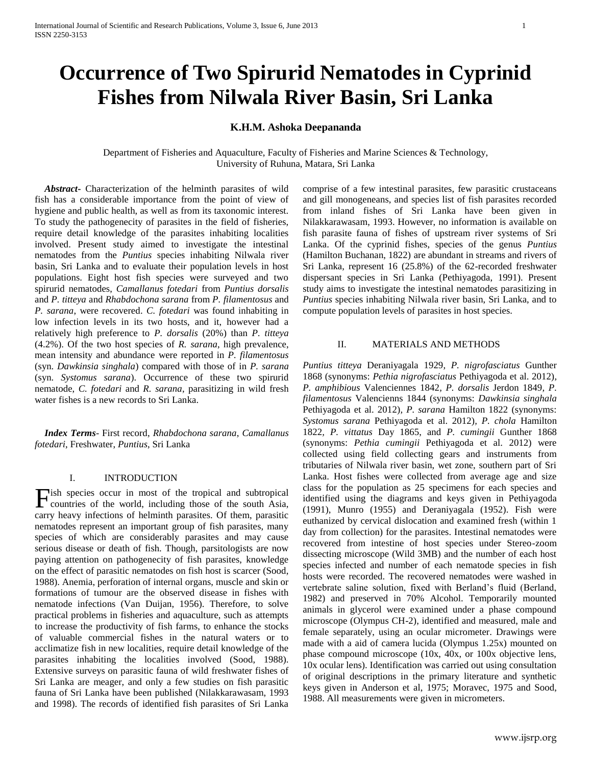# **Occurrence of Two Spirurid Nematodes in Cyprinid Fishes from Nilwala River Basin, Sri Lanka**

# **K.H.M. Ashoka Deepananda**

Department of Fisheries and Aquaculture, Faculty of Fisheries and Marine Sciences & Technology, University of Ruhuna, Matara, Sri Lanka

 *Abstract***-** Characterization of the helminth parasites of wild fish has a considerable importance from the point of view of hygiene and public health, as well as from its taxonomic interest. To study the pathogenecity of parasites in the field of fisheries, require detail knowledge of the parasites inhabiting localities involved. Present study aimed to investigate the intestinal nematodes from the *Puntius* species inhabiting Nilwala river basin, Sri Lanka and to evaluate their population levels in host populations. Eight host fish species were surveyed and two spirurid nematodes, *Camallanus fotedari* from *Puntius dorsalis*  and *P. titteya* and *Rhabdochona sarana* from *P. filamentosus* and *P. sarana*, were recovered. *C. fotedari* was found inhabiting in low infection levels in its two hosts, and it, however had a relatively high preference to *P. dorsalis* (20%) than *P. titteya* (4.2%). Of the two host species of *R. sarana*, high prevalence, mean intensity and abundance were reported in *P. filamentosus* (syn. *Dawkinsia singhala*) compared with those of in *P. sarana* (syn. *Systomus sarana*). Occurrence of these two spirurid nematode, *C. fotedari* and *R. sarana*, parasitizing in wild fresh water fishes is a new records to Sri Lanka.

 *Index Terms*- First record, *Rhabdochona sarana*, *Camallanus fotedari*, Freshwater, *Puntius*, Sri Lanka

## I. INTRODUCTION

ish species occur in most of the tropical and subtropical Fish species occur in most of the tropical and subtropical countries of the world, including those of the south Asia, carry heavy infections of helminth parasites. Of them, parasitic nematodes represent an important group of fish parasites, many species of which are considerably parasites and may cause serious disease or death of fish. Though, parsitologists are now paying attention on pathogenecity of fish parasites, knowledge on the effect of parasitic nematodes on fish host is scarcer (Sood, 1988). Anemia, perforation of internal organs, muscle and skin or formations of tumour are the observed disease in fishes with nematode infections (Van Duijan, 1956). Therefore, to solve practical problems in fisheries and aquaculture, such as attempts to increase the productivity of fish farms, to enhance the stocks of valuable commercial fishes in the natural waters or to acclimatize fish in new localities, require detail knowledge of the parasites inhabiting the localities involved (Sood, 1988). Extensive surveys on parasitic fauna of wild freshwater fishes of Sri Lanka are meager, and only a few studies on fish parasitic fauna of Sri Lanka have been published (Nilakkarawasam, 1993 and 1998). The records of identified fish parasites of Sri Lanka

comprise of a few intestinal parasites, few parasitic crustaceans and gill monogeneans, and species list of fish parasites recorded from inland fishes of Sri Lanka have been given in Nilakkarawasam, 1993. However, no information is available on fish parasite fauna of fishes of upstream river systems of Sri Lanka. Of the cyprinid fishes, species of the genus *Puntius*  (Hamilton Buchanan, 1822) are abundant in streams and rivers of Sri Lanka, represent 16 (25.8%) of the 62-recorded freshwater dispersant species in Sri Lanka (Pethiyagoda, 1991). Present study aims to investigate the intestinal nematodes parasitizing in *Puntius* species inhabiting Nilwala river basin, Sri Lanka, and to compute population levels of parasites in host species.

# II. MATERIALS AND METHODS

*Puntius titteya* Deraniyagala 1929*, P. nigrofasciatus* Gunther 1868 (synonyms: *Pethia nigrofasciatus* Pethiyagoda et al. 2012)*, P. amphibious* Valenciennes 1842*, P. dorsalis* Jerdon 1849*, P. filamentosus* Valencienns 1844 (synonyms: *Dawkinsia singhala*  Pethiyagoda et al. 2012)*, P. sarana* Hamilton 1822 (synonyms: *Systomus sarana* Pethiyagoda et al. 2012)*, P. chola* Hamilton 1822*, P. vittatus* Day 1865, and *P. cumingii* Gunther 1868 (synonyms: *Pethia cumingii* Pethiyagoda et al. 2012) were collected using field collecting gears and instruments from tributaries of Nilwala river basin, wet zone, southern part of Sri Lanka. Host fishes were collected from average age and size class for the population as 25 specimens for each species and identified using the diagrams and keys given in Pethiyagoda (1991), Munro (1955) and Deraniyagala (1952). Fish were euthanized by cervical dislocation and examined fresh (within 1 day from collection) for the parasites. Intestinal nematodes were recovered from intestine of host species under Stereo-zoom dissecting microscope (Wild 3MB) and the number of each host species infected and number of each nematode species in fish hosts were recorded. The recovered nematodes were washed in vertebrate saline solution, fixed with Berland's fluid (Berland, 1982) and preserved in 70% Alcohol. Temporarily mounted animals in glycerol were examined under a phase compound microscope (Olympus CH-2), identified and measured, male and female separately, using an ocular micrometer. Drawings were made with a aid of camera lucida (Olympus 1.25x) mounted on phase compound microscope (10x, 40x, or 100x objective lens, 10x ocular lens). Identification was carried out using consultation of original descriptions in the primary literature and synthetic keys given in Anderson et al, 1975; Moravec, 1975 and Sood, 1988. All measurements were given in micrometers.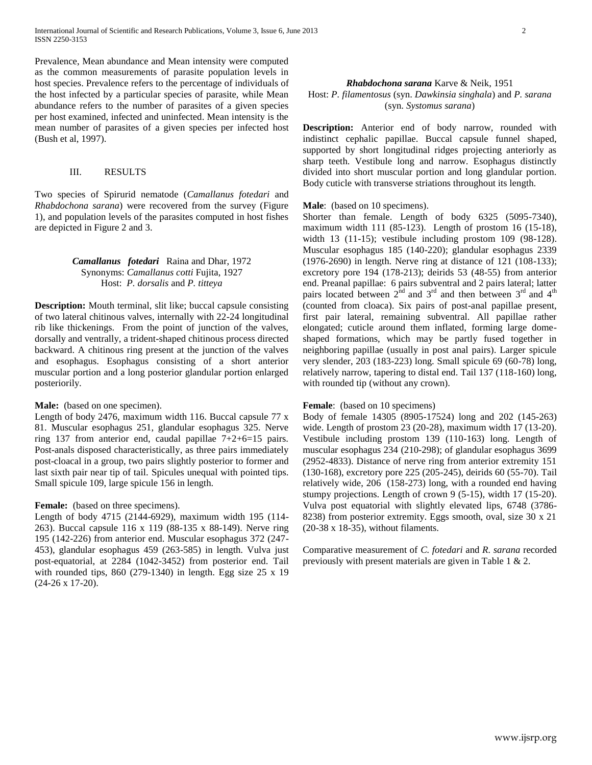Prevalence, Mean abundance and Mean intensity were computed as the common measurements of parasite population levels in host species. Prevalence refers to the percentage of individuals of the host infected by a particular species of parasite, while Mean abundance refers to the number of parasites of a given species per host examined, infected and uninfected. Mean intensity is the mean number of parasites of a given species per infected host (Bush et al, 1997).

## III. RESULTS

Two species of Spirurid nematode (*Camallanus fotedari* and *Rhabdochona sarana*) were recovered from the survey (Figure 1), and population levels of the parasites computed in host fishes are depicted in Figure 2 and 3.

# *Camallanus fotedari* Raina and Dhar, 1972 Synonyms: *Camallanus cotti* Fujita, 1927 Host: *P. dorsalis* and *P. titteya*

**Description:** Mouth terminal, slit like; buccal capsule consisting of two lateral chitinous valves, internally with 22-24 longitudinal rib like thickenings. From the point of junction of the valves, dorsally and ventrally, a trident-shaped chitinous process directed backward. A chitinous ring present at the junction of the valves and esophagus. Esophagus consisting of a short anterior muscular portion and a long posterior glandular portion enlarged posteriorily.

#### Male: (based on one specimen).

Length of body 2476, maximum width 116. Buccal capsule 77 x 81. Muscular esophagus 251, glandular esophagus 325. Nerve ring 137 from anterior end, caudal papillae 7+2+6=15 pairs. Post-anals disposed characteristically, as three pairs immediately post-cloacal in a group, two pairs slightly posterior to former and last sixth pair near tip of tail. Spicules unequal with pointed tips. Small spicule 109, large spicule 156 in length.

## Female: (based on three specimens).

Length of body 4715 (2144-6929), maximum width 195 (114- 263). Buccal capsule 116 x 119 (88-135 x 88-149). Nerve ring 195 (142-226) from anterior end. Muscular esophagus 372 (247- 453), glandular esophagus 459 (263-585) in length. Vulva just post-equatorial, at 2284 (1042-3452) from posterior end. Tail with rounded tips, 860 (279-1340) in length. Egg size 25 x 19 (24-26 x 17-20).

## *Rhabdochona sarana* Karve & Neik, 1951 Host: *P. filamentosus* (syn. *Dawkinsia singhala*) and *P. sarana* (syn. *Systomus sarana*)

**Description:** Anterior end of body narrow, rounded with indistinct cephalic papillae. Buccal capsule funnel shaped, supported by short longitudinal ridges projecting anteriorly as sharp teeth. Vestibule long and narrow. Esophagus distinctly divided into short muscular portion and long glandular portion. Body cuticle with transverse striations throughout its length.

## **Male**: (based on 10 specimens).

Shorter than female. Length of body 6325 (5095-7340), maximum width 111 (85-123). Length of prostom 16 (15-18), width 13 (11-15); vestibule including prostom 109 (98-128). Muscular esophagus 185 (140-220); glandular esophagus 2339 (1976-2690) in length. Nerve ring at distance of 121 (108-133); excretory pore 194 (178-213); deirids 53 (48-55) from anterior end. Preanal papillae: 6 pairs subventral and 2 pairs lateral; latter pairs located between  $2^{\text{nd}}$  and  $3^{\text{rd}}$  and then between  $3^{\text{rd}}$  and  $4^{\text{th}}$ (counted from cloaca). Six pairs of post-anal papillae present, first pair lateral, remaining subventral. All papillae rather elongated; cuticle around them inflated, forming large domeshaped formations, which may be partly fused together in neighboring papillae (usually in post anal pairs). Larger spicule very slender, 203 (183-223) long. Small spicule 69 (60-78) long, relatively narrow, tapering to distal end. Tail 137 (118-160) long, with rounded tip (without any crown).

#### **Female**: (based on 10 specimens)

Body of female 14305 (8905-17524) long and 202 (145-263) wide. Length of prostom 23 (20-28), maximum width 17 (13-20). Vestibule including prostom 139 (110-163) long. Length of muscular esophagus 234 (210-298); of glandular esophagus 3699 (2952-4833). Distance of nerve ring from anterior extremity 151 (130-168), excretory pore 225 (205-245), deirids 60 (55-70). Tail relatively wide, 206 (158-273) long, with a rounded end having stumpy projections. Length of crown 9 (5-15), width 17 (15-20). Vulva post equatorial with slightly elevated lips, 6748 (3786- 8238) from posterior extremity. Eggs smooth, oval, size 30 x 21 (20-38 x 18-35), without filaments.

Comparative measurement of *C. fotedari* and *R. sarana* recorded previously with present materials are given in Table 1 & 2.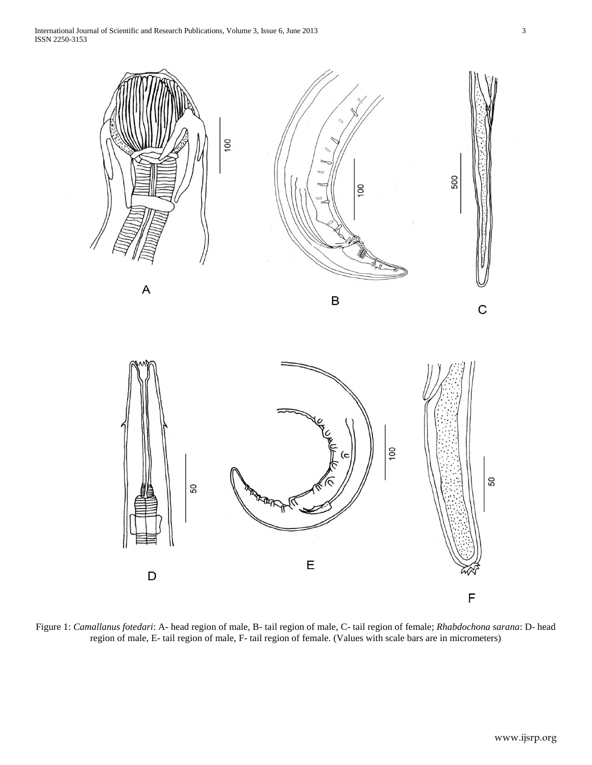International Journal of Scientific and Research Publications, Volume 3, Issue 6, June 2013 3 ISSN 2250-3153



Figure 1: *Camallanus fotedari*: A- head region of male, B- tail region of male, C- tail region of female; *Rhabdochona sarana*: D- head region of male, E- tail region of male, F- tail region of female. (Values with scale bars are in micrometers)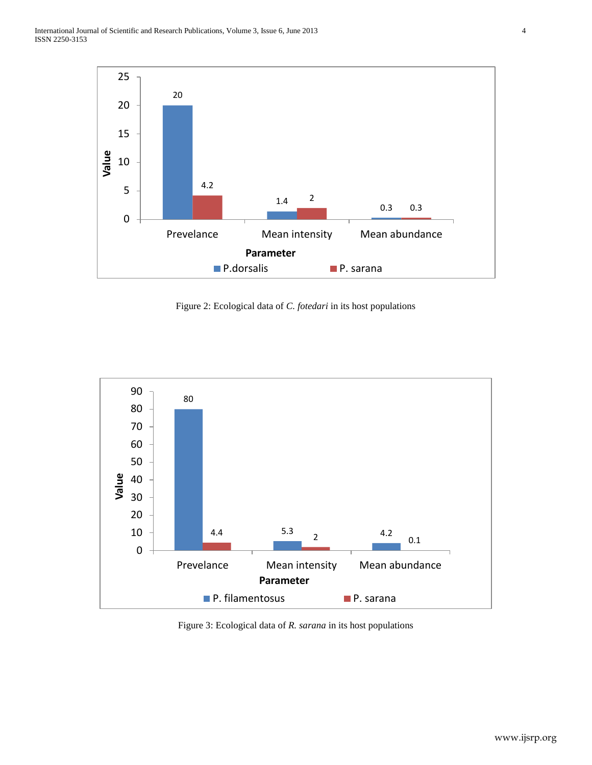International Journal of Scientific and Research Publications, Volume 3, Issue 6, June 2013 4 ISSN 2250-3153



Figure 2: Ecological data of *C. fotedari* in its host populations



Figure 3: Ecological data of *R. sarana* in its host populations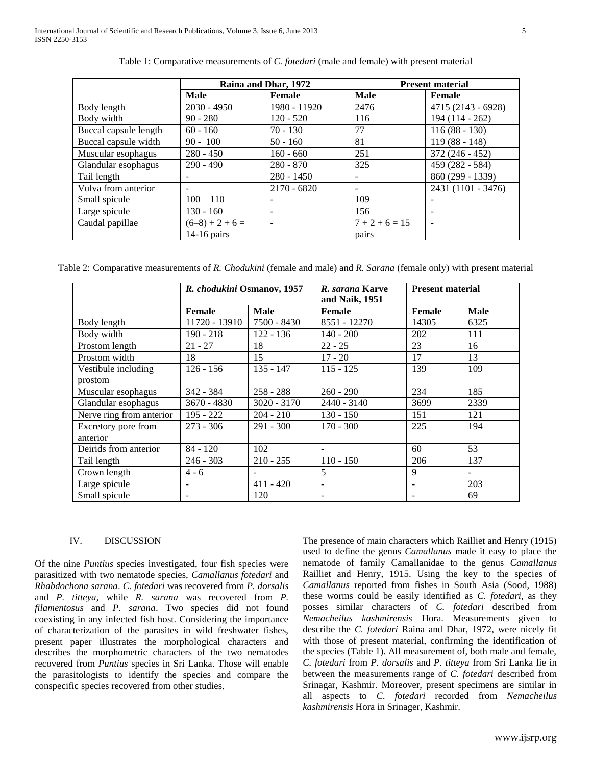|                       | Raina and Dhar, 1972 |               | <b>Present material</b> |                    |
|-----------------------|----------------------|---------------|-------------------------|--------------------|
|                       | <b>Male</b>          | Female        | Male                    | Female             |
| Body length           | $2030 - 4950$        | 1980 - 11920  | 2476                    | 4715 (2143 - 6928) |
| Body width            | $90 - 280$           | $120 - 520$   | 116                     | 194 (114 - 262)    |
| Buccal capsule length | $60 - 160$           | $70 - 130$    | 77                      | $116(88 - 130)$    |
| Buccal capsule width  | $90 - 100$           | $50 - 160$    | 81                      | $119(88 - 148)$    |
| Muscular esophagus    | $280 - 450$          | $160 - 660$   | 251                     | $372(246 - 452)$   |
| Glandular esophagus   | $290 - 490$          | $280 - 870$   | 325                     | 459 (282 - 584)    |
| Tail length           |                      | $280 - 1450$  |                         | 860 (299 - 1339)   |
| Vulva from anterior   |                      | $2170 - 6820$ | -                       | 2431 (1101 - 3476) |
| Small spicule         | $100 - 110$          | -             | 109                     |                    |
| Large spicule         | $130 - 160$          | -             | 156                     | $\qquad \qquad$    |
| Caudal papillae       | $(6-8) + 2 + 6 =$    |               | $7 + 2 + 6 = 15$        |                    |
|                       | $14-16$ pairs        |               | pairs                   |                    |

Table 1: Comparative measurements of *C. fotedari* (male and female) with present material

Table 2: Comparative measurements of *R. Chodukini* (female and male) and *R. Sarana* (female only) with present material

|                          | R. chodukini Osmanov, 1957 |               | R. sarana Karve<br>and Naik, 1951 | <b>Present material</b> |             |
|--------------------------|----------------------------|---------------|-----------------------------------|-------------------------|-------------|
|                          | Female                     | <b>Male</b>   | <b>Female</b>                     | Female                  | <b>Male</b> |
| Body length              | 11720 - 13910              | 7500 - 8430   | 8551 - 12270                      | 14305                   | 6325        |
| Body width               | $190 - 218$                | 122 - 136     | $140 - 200$                       | 202                     | 111         |
| Prostom length           | $21 - 27$                  | 18            | $22 - 25$                         | 23                      | 16          |
| Prostom width            | 18                         | 15            | $17 - 20$                         | 17                      | 13          |
| Vestibule including      | $126 - 156$                | $135 - 147$   | $115 - 125$                       | 139                     | 109         |
| prostom                  |                            |               |                                   |                         |             |
| Muscular esophagus       | $342 - 384$                | $258 - 288$   | $260 - 290$                       | 234                     | 185         |
| Glandular esophagus      | $3670 - 4830$              | $3020 - 3170$ | $2440 - 3140$                     | 3699                    | 2339        |
| Nerve ring from anterior | $195 - 222$                | $204 - 210$   | $130 - 150$                       | 151                     | 121         |
| Excretory pore from      | $273 - 306$                | $291 - 300$   | $170 - 300$                       | 225                     | 194         |
| anterior                 |                            |               |                                   |                         |             |
| Deirids from anterior    | $84 - 120$                 | 102           |                                   | 60                      | 53          |
| Tail length              | $246 - 303$                | $210 - 255$   | $110 - 150$                       | 206                     | 137         |
| Crown length             | $4 - 6$                    |               | 5                                 | 9                       |             |
| Large spicule            |                            | $411 - 420$   |                                   |                         | 203         |
| Small spicule            |                            | 120           |                                   |                         | 69          |

## IV. DISCUSSION

Of the nine *Puntius* species investigated, four fish species were parasitized with two nematode species, *Camallanus fotedari* and *Rhabdochona sarana*. *C. fotedari* was recovered from *P. dorsalis* and *P. titteya*, while *R. sarana* was recovered from *P. filamentosus* and *P. sarana*. Two species did not found coexisting in any infected fish host. Considering the importance of characterization of the parasites in wild freshwater fishes, present paper illustrates the morphological characters and describes the morphometric characters of the two nematodes recovered from *Puntius* species in Sri Lanka. Those will enable the parasitologists to identify the species and compare the conspecific species recovered from other studies.

The presence of main characters which Railliet and Henry (1915) used to define the genus *Camallanus* made it easy to place the nematode of family Camallanidae to the genus *Camallanus* Railliet and Henry, 1915. Using the key to the species of *Camallanus* reported from fishes in South Asia (Sood, 1988) these worms could be easily identified as *C. fotedari*, as they posses similar characters of *C. fotedari* described from *Nemacheilus kashmirensis* Hora. Measurements given to describe the *C. fotedari* Raina and Dhar, 1972, were nicely fit with those of present material, confirming the identification of the species (Table 1). All measurement of, both male and female, *C. fotedari* from *P. dorsalis* and *P. titteya* from Sri Lanka lie in between the measurements range of *C. fotedari* described from Srinagar, Kashmir. Moreover, present specimens are similar in all aspects to *C. fotedari* recorded from *Nemacheilus kashmirensis* Hora in Srinager, Kashmir.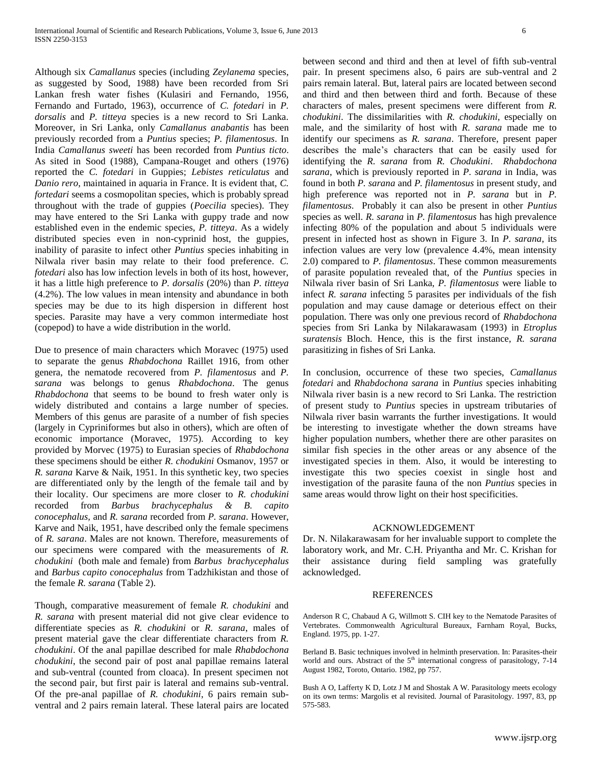Although six *Camallanus* species (including *Zeylanema* species, as suggested by Sood, 1988) have been recorded from Sri Lankan fresh water fishes (Kulasiri and Fernando, 1956, Fernando and Furtado, 1963), occurrence of *C. fotedari* in *P. dorsalis* and *P. titteya* species is a new record to Sri Lanka. Moreover, in Sri Lanka, only *Camallanus anabantis* has been previously recorded from a *Puntius* species; *P. filamentosus*. In India *Camallanus sweeti* has been recorded from *Puntius ticto*. As sited in Sood (1988), Campana-Rouget and others (1976) reported the *C. fotedari* in Guppies; *Lebistes reticulatus* and *Danio rero*, maintained in aquaria in France. It is evident that, *C. fortedari* seems a cosmopolitan species, which is probably spread throughout with the trade of guppies (*Poecilia* species). They may have entered to the Sri Lanka with guppy trade and now established even in the endemic species, *P. titteya*. As a widely distributed species even in non-cyprinid host, the guppies, inability of parasite to infect other *Puntius* species inhabiting in Nilwala river basin may relate to their food preference. *C. fotedari* also has low infection levels in both of its host, however, it has a little high preference to *P. dorsalis* (20%) than *P. titteya*  (4.2%). The low values in mean intensity and abundance in both species may be due to its high dispersion in different host species. Parasite may have a very common intermediate host (copepod) to have a wide distribution in the world.

Due to presence of main characters which Moravec (1975) used to separate the genus *Rhabdochona* Raillet 1916, from other genera, the nematode recovered from *P. filamentosus* and *P. sarana* was belongs to genus *Rhabdochona*. The genus *Rhabdochona* that seems to be bound to fresh water only is widely distributed and contains a large number of species. Members of this genus are parasite of a number of fish species (largely in Cypriniformes but also in others), which are often of economic importance (Moravec, 1975). According to key provided by Morvec (1975) to Eurasian species of *Rhabdochona*  these specimens should be either *R. chodukini* Osmanov, 1957 or *R. sarana* Karve & Naik, 1951. In this synthetic key, two species are differentiated only by the length of the female tail and by their locality. Our specimens are more closer to *R. chodukini* recorded from *Barbus brachycephalus & B. capito conocephalus,* and *R. sarana* recorded from *P. sarana*. However, Karve and Naik, 1951, have described only the female specimens of *R. sarana*. Males are not known. Therefore, measurements of our specimens were compared with the measurements of *R. chodukini* (both male and female) from *Barbus brachycephalus* and *Barbus capito conocephalus* from Tadzhikistan and those of the female *R. sarana* (Table 2).

Though, comparative measurement of female *R. chodukini* and *R. sarana* with present material did not give clear evidence to differentiate species as *R. chodukini* or *R. sarana*, males of present material gave the clear differentiate characters from *R. chodukini*. Of the anal papillae described for male *Rhabdochona chodukini*, the second pair of post anal papillae remains lateral and sub-ventral (counted from cloaca). In present specimen not the second pair, but first pair is lateral and remains sub-ventral. Of the pre-anal papillae of *R. chodukini*, 6 pairs remain subventral and 2 pairs remain lateral. These lateral pairs are located

between second and third and then at level of fifth sub-ventral pair. In present specimens also, 6 pairs are sub-ventral and 2 pairs remain lateral. But, lateral pairs are located between second and third and then between third and forth. Because of these characters of males, present specimens were different from *R. chodukini*. The dissimilarities with *R. chodukini*, especially on male, and the similarity of host with *R. sarana* made me to identify our specimens as *R. sarana*. Therefore, present paper describes the male's characters that can be easily used for identifying the *R. sarana* from *R. Chodukini*. *Rhabdochona sarana*, which is previously reported in *P. sarana* in India, was found in both *P. sarana* and *P. filamentosus* in present study, and high preference was reported not in *P. sarana* but in *P. filamentosus*. Probably it can also be present in other *Puntius* species as well. *R. sarana* in *P. filamentosus* has high prevalence infecting 80% of the population and about 5 individuals were present in infected host as shown in Figure 3. In *P. sarana*, its infection values are very low (prevalence 4.4%, mean intensity 2.0) compared to *P. filamentosus*. These common measurements of parasite population revealed that, of the *Puntius* species in Nilwala river basin of Sri Lanka, *P. filamentosus* were liable to infect *R. sarana* infecting 5 parasites per individuals of the fish population and may cause damage or deterious effect on their population. There was only one previous record of *Rhabdochona* species from Sri Lanka by Nilakarawasam (1993) in *Etroplus suratensis* Bloch. Hence, this is the first instance, *R. sarana* parasitizing in fishes of Sri Lanka.

In conclusion, occurrence of these two species, *Camallanus fotedari* and *Rhabdochona sarana* in *Puntius* species inhabiting Nilwala river basin is a new record to Sri Lanka. The restriction of present study to *Puntius* species in upstream tributaries of Nilwala river basin warrants the further investigations. It would be interesting to investigate whether the down streams have higher population numbers, whether there are other parasites on similar fish species in the other areas or any absence of the investigated species in them. Also, it would be interesting to investigate this two species coexist in single host and investigation of the parasite fauna of the non *Puntius* species in same areas would throw light on their host specificities.

## ACKNOWLEDGEMENT

Dr. N. Nilakarawasam for her invaluable support to complete the laboratory work, and Mr. C.H. Priyantha and Mr. C. Krishan for their assistance during field sampling was gratefully acknowledged.

#### REFERENCES

Anderson R C, Chabaud A G, Willmott S. CIH key to the Nematode Parasites of Vertebrates. Commonwealth Agricultural Bureaux, Farnham Royal, Bucks, England. 1975, pp. 1-27.

Berland B. Basic techniques involved in helminth preservation. In: Parasites-their world and ours. Abstract of the  $5<sup>th</sup>$  international congress of parasitology, 7-14 August 1982, Toroto, Ontario. 1982, pp 757.

Bush A O, Lafferty K D, Lotz J M and Shostak A W. Parasitology meets ecology on its own terms: Margolis et al revisited. Journal of Parasitology. 1997, 83, pp 575-583.